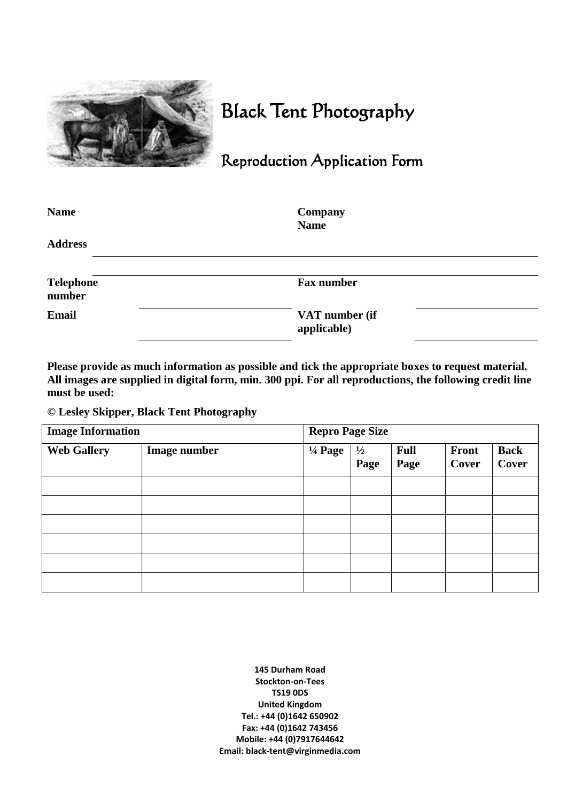

## Black Tent Photography

## Reproduction Application Form

| <b>Name</b>                | Company<br><b>Name</b>        |  |
|----------------------------|-------------------------------|--|
| <b>Address</b>             |                               |  |
| <b>Telephone</b><br>number | <b>Fax number</b>             |  |
| <b>Email</b>               | VAT number (if<br>applicable) |  |

**Please provide as much information as possible and tick the appropriate boxes to request material. All images are supplied in digital form, min. 300 ppi. For all reproductions, the following credit line must be used:**

## **© Lesley Skipper, Black Tent Photography**

| <b>Image Information</b> |                     | <b>Repro Page Size</b> |                       |                     |                |                      |
|--------------------------|---------------------|------------------------|-----------------------|---------------------|----------------|----------------------|
| <b>Web Gallery</b>       | <b>Image number</b> | $\frac{1}{4}$ Page     | $\frac{1}{2}$<br>Page | <b>Full</b><br>Page | Front<br>Cover | <b>Back</b><br>Cover |
|                          |                     |                        |                       |                     |                |                      |
|                          |                     |                        |                       |                     |                |                      |
|                          |                     |                        |                       |                     |                |                      |
|                          |                     |                        |                       |                     |                |                      |
|                          |                     |                        |                       |                     |                |                      |
|                          |                     |                        |                       |                     |                |                      |

**145 Durham Road Stockton-on-Tees TS19 0DS United Kingdom Tel.: +44 (0)1642 650902 Fax: +44 (0)1642 743456 Mobile: +44 (0)7917644642 Email: black-tent@virginmedia.com**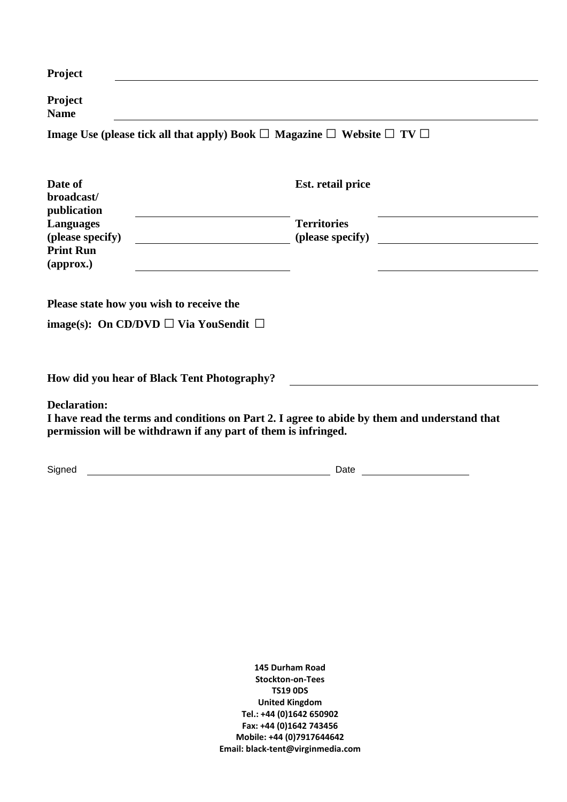| <b>Project</b>                                                                                                                 |                                                             |  |  |  |  |
|--------------------------------------------------------------------------------------------------------------------------------|-------------------------------------------------------------|--|--|--|--|
| Project<br><b>Name</b>                                                                                                         |                                                             |  |  |  |  |
| Image Use (please tick all that apply) Book $\Box$ Magazine $\Box$ Website $\Box$ TV $\Box$                                    |                                                             |  |  |  |  |
| Date of<br>broadcast/<br>publication<br><b>Languages</b><br>(please specify)<br><b>Print Run</b><br>$\left($ approx. $\right)$ | Est. retail price<br><b>Territories</b><br>(please specify) |  |  |  |  |
| Please state how you wish to receive the<br>image(s): On CD/DVD $\Box$ Via YouSendit $\Box$                                    |                                                             |  |  |  |  |
| How did you hear of Black Tent Photography?                                                                                    |                                                             |  |  |  |  |

**Declaration:**

**I have read the terms and conditions on Part 2. I agree to abide by them and understand that permission will be withdrawn if any part of them is infringed.** 

Signed Date

**145 Durham Road Stockton-on-Tees TS19 0DS United Kingdom Tel.: +44 (0)1642 650902 Fax: +44 (0)1642 743456 Mobile: +44 (0)7917644642 Email: black-tent@virginmedia.com**